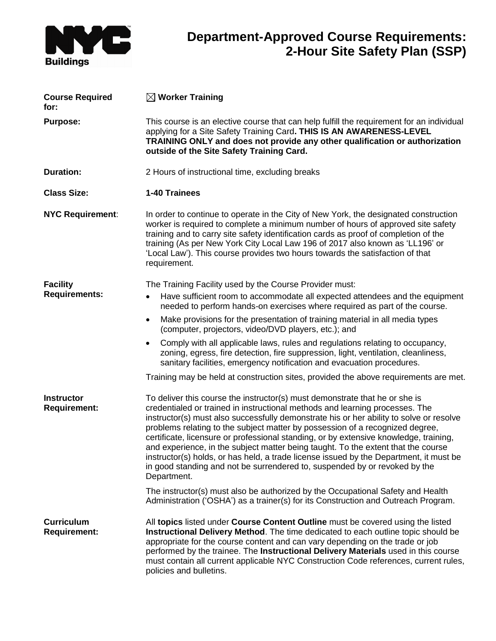

## **Department-Approved Course Requirements: 2-Hour Site Safety Plan (SSP)**

| <b>Course Required</b><br>for:           | $\boxtimes$ Worker Training                                                                                                                                                                                                                                                                                                                                                                                                                                                                                                                                                                                                                                                                                  |
|------------------------------------------|--------------------------------------------------------------------------------------------------------------------------------------------------------------------------------------------------------------------------------------------------------------------------------------------------------------------------------------------------------------------------------------------------------------------------------------------------------------------------------------------------------------------------------------------------------------------------------------------------------------------------------------------------------------------------------------------------------------|
| <b>Purpose:</b>                          | This course is an elective course that can help fulfill the requirement for an individual<br>applying for a Site Safety Training Card. THIS IS AN AWARENESS-LEVEL<br>TRAINING ONLY and does not provide any other qualification or authorization<br>outside of the Site Safety Training Card.                                                                                                                                                                                                                                                                                                                                                                                                                |
| <b>Duration:</b>                         | 2 Hours of instructional time, excluding breaks                                                                                                                                                                                                                                                                                                                                                                                                                                                                                                                                                                                                                                                              |
| <b>Class Size:</b>                       | 1-40 Trainees                                                                                                                                                                                                                                                                                                                                                                                                                                                                                                                                                                                                                                                                                                |
| <b>NYC Requirement:</b>                  | In order to continue to operate in the City of New York, the designated construction<br>worker is required to complete a minimum number of hours of approved site safety<br>training and to carry site safety identification cards as proof of completion of the<br>training (As per New York City Local Law 196 of 2017 also known as 'LL196' or<br>'Local Law'). This course provides two hours towards the satisfaction of that<br>requirement.                                                                                                                                                                                                                                                           |
| <b>Facility</b><br><b>Requirements:</b>  | The Training Facility used by the Course Provider must:                                                                                                                                                                                                                                                                                                                                                                                                                                                                                                                                                                                                                                                      |
|                                          | Have sufficient room to accommodate all expected attendees and the equipment<br>$\bullet$<br>needed to perform hands-on exercises where required as part of the course.                                                                                                                                                                                                                                                                                                                                                                                                                                                                                                                                      |
|                                          | Make provisions for the presentation of training material in all media types<br>$\bullet$<br>(computer, projectors, video/DVD players, etc.); and                                                                                                                                                                                                                                                                                                                                                                                                                                                                                                                                                            |
|                                          | Comply with all applicable laws, rules and regulations relating to occupancy,<br>$\bullet$<br>zoning, egress, fire detection, fire suppression, light, ventilation, cleanliness,<br>sanitary facilities, emergency notification and evacuation procedures.                                                                                                                                                                                                                                                                                                                                                                                                                                                   |
|                                          | Training may be held at construction sites, provided the above requirements are met.                                                                                                                                                                                                                                                                                                                                                                                                                                                                                                                                                                                                                         |
| <b>Instructor</b><br><b>Requirement:</b> | To deliver this course the instructor(s) must demonstrate that he or she is<br>credentialed or trained in instructional methods and learning processes. The<br>instructor(s) must also successfully demonstrate his or her ability to solve or resolve<br>problems relating to the subject matter by possession of a recognized degree,<br>certificate, licensure or professional standing, or by extensive knowledge, training,<br>and experience, in the subject matter being taught. To the extent that the course<br>instructor(s) holds, or has held, a trade license issued by the Department, it must be<br>in good standing and not be surrendered to, suspended by or revoked by the<br>Department. |
|                                          | The instructor(s) must also be authorized by the Occupational Safety and Health<br>Administration ('OSHA') as a trainer(s) for its Construction and Outreach Program.                                                                                                                                                                                                                                                                                                                                                                                                                                                                                                                                        |
| <b>Curriculum</b><br><b>Requirement:</b> | All topics listed under Course Content Outline must be covered using the listed<br>Instructional Delivery Method. The time dedicated to each outline topic should be<br>appropriate for the course content and can vary depending on the trade or job<br>performed by the trainee. The Instructional Delivery Materials used in this course<br>must contain all current applicable NYC Construction Code references, current rules,<br>policies and bulletins.                                                                                                                                                                                                                                               |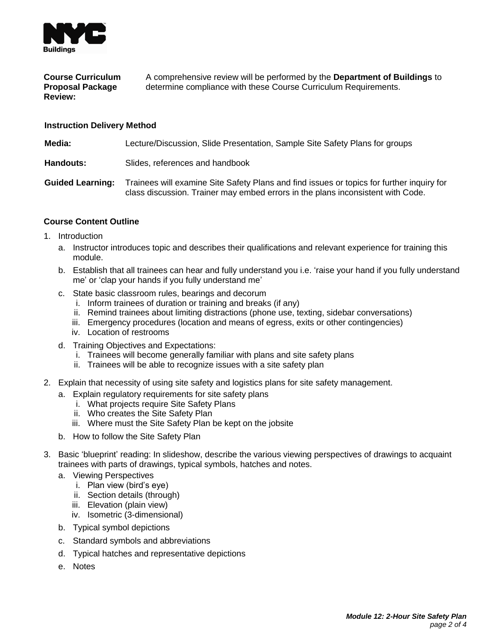

## **Course Curriculum Proposal Package Review:** A comprehensive review will be performed by the **Department of Buildings** to determine compliance with these Course Curriculum Requirements.

## **Instruction Delivery Method**

**Media:** Lecture/Discussion, Slide Presentation, Sample Site Safety Plans for groups

**Handouts:** Slides, references and handbook

**Guided Learning:** Trainees will examine Site Safety Plans and find issues or topics for further inquiry for class discussion. Trainer may embed errors in the plans inconsistent with Code.

## **Course Content Outline**

- 1. Introduction
	- a. Instructor introduces topic and describes their qualifications and relevant experience for training this module.
	- b. Establish that all trainees can hear and fully understand you i.e. 'raise your hand if you fully understand me' or 'clap your hands if you fully understand me'
	- c. State basic classroom rules, bearings and decorum
		- i. Inform trainees of duration or training and breaks (if any)
		- ii. Remind trainees about limiting distractions (phone use, texting, sidebar conversations)
		- iii. Emergency procedures (location and means of egress, exits or other contingencies)
		- iv. Location of restrooms
	- d. Training Objectives and Expectations:
		- i. Trainees will become generally familiar with plans and site safety plans
		- ii. Trainees will be able to recognize issues with a site safety plan
- 2. Explain that necessity of using site safety and logistics plans for site safety management.
	- a. Explain regulatory requirements for site safety plans
		- i. What projects require Site Safety Plans
		- ii. Who creates the Site Safety Plan
		- iii. Where must the Site Safety Plan be kept on the jobsite
	- b. How to follow the Site Safety Plan
- 3. Basic 'blueprint' reading: In slideshow, describe the various viewing perspectives of drawings to acquaint trainees with parts of drawings, typical symbols, hatches and notes.
	- a. Viewing Perspectives
		- i. Plan view (bird's eye)
		- ii. Section details (through)
		- iii. Elevation (plain view)
		- iv. Isometric (3-dimensional)
	- b. Typical symbol depictions
	- c. Standard symbols and abbreviations
	- d. Typical hatches and representative depictions
	- e. Notes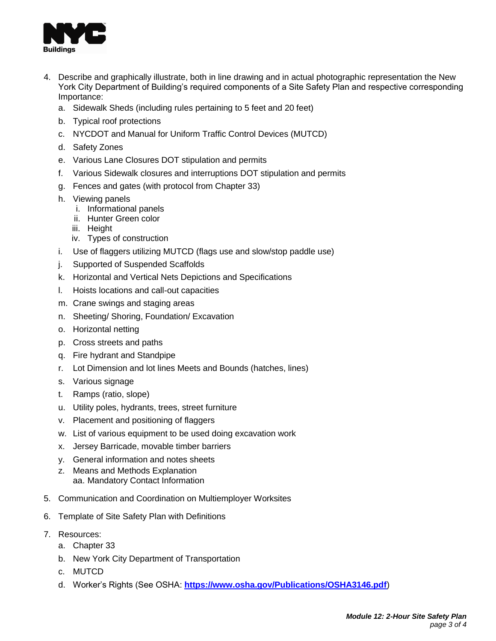

- 4. Describe and graphically illustrate, both in line drawing and in actual photographic representation the New York City Department of Building's required components of a Site Safety Plan and respective corresponding Importance:
	- a. Sidewalk Sheds (including rules pertaining to 5 feet and 20 feet)
	- b. Typical roof protections
	- c. NYCDOT and Manual for Uniform Traffic Control Devices (MUTCD)
	- d. Safety Zones
	- e. Various Lane Closures DOT stipulation and permits
	- f. Various Sidewalk closures and interruptions DOT stipulation and permits
	- g. Fences and gates (with protocol from Chapter 33)
	- h. Viewing panels
		- i. Informational panels
		- ii. Hunter Green color
		- iii. Height
		- iv. Types of construction
	- i. Use of flaggers utilizing MUTCD (flags use and slow/stop paddle use)
	- j. Supported of Suspended Scaffolds
	- k. Horizontal and Vertical Nets Depictions and Specifications
	- l. Hoists locations and call-out capacities
	- m. Crane swings and staging areas
	- n. Sheeting/ Shoring, Foundation/ Excavation
	- o. Horizontal netting
	- p. Cross streets and paths
	- q. Fire hydrant and Standpipe
	- r. Lot Dimension and lot lines Meets and Bounds (hatches, lines)
	- s. Various signage
	- t. Ramps (ratio, slope)
	- u. Utility poles, hydrants, trees, street furniture
	- v. Placement and positioning of flaggers
	- w. List of various equipment to be used doing excavation work
	- x. Jersey Barricade, movable timber barriers
	- y. General information and notes sheets
	- z. Means and Methods Explanation aa. Mandatory Contact Information
- 5. Communication and Coordination on Multiemployer Worksites
- 6. Template of Site Safety Plan with Definitions
- 7. Resources:
	- a. Chapter 33
	- b. New York City Department of Transportation
	- c. MUTCD
	- d. Worker's Rights (See OSHA: **<https://www.osha.gov/Publications/OSHA3146.pdf>**)